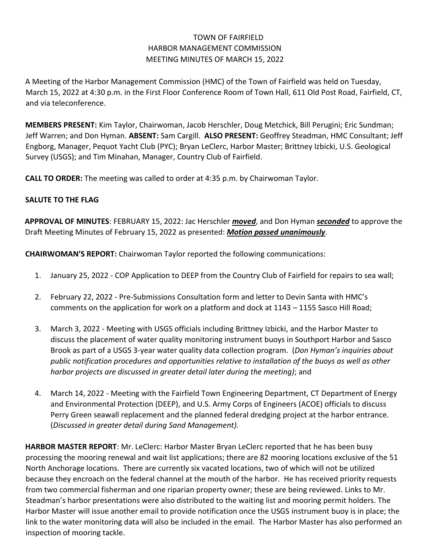## TOWN OF FAIRFIELD HARBOR MANAGEMENT COMMISSION MEETING MINUTES OF MARCH 15, 2022

A Meeting of the Harbor Management Commission (HMC) of the Town of Fairfield was held on Tuesday, March 15, 2022 at 4:30 p.m. in the First Floor Conference Room of Town Hall, 611 Old Post Road, Fairfield, CT, and via teleconference.

**MEMBERS PRESENT:** Kim Taylor, Chairwoman, Jacob Herschler, Doug Metchick, Bill Perugini; Eric Sundman; Jeff Warren; and Don Hyman. **ABSENT:** Sam Cargill. **ALSO PRESENT:** Geoffrey Steadman, HMC Consultant; Jeff Engborg, Manager, Pequot Yacht Club (PYC); Bryan LeClerc, Harbor Master; Brittney Izbicki, U.S. Geological Survey (USGS); and Tim Minahan, Manager, Country Club of Fairfield.

**CALL TO ORDER:** The meeting was called to order at 4:35 p.m. by Chairwoman Taylor.

## **SALUTE TO THE FLAG**

**APPROVAL OF MINUTES**: FEBRUARY 15, 2022: Jac Herschler *moved*, and Don Hyman *seconded* to approve the Draft Meeting Minutes of February 15, 2022 as presented: *Motion passed unanimously*.

**CHAIRWOMAN'S REPORT:** Chairwoman Taylor reported the following communications:

- 1. January 25, 2022 COP Application to DEEP from the Country Club of Fairfield for repairs to sea wall;
- 2. February 22, 2022 Pre-Submissions Consultation form and letter to Devin Santa with HMC's comments on the application for work on a platform and dock at 1143 – 1155 Sasco Hill Road;
- 3. March 3, 2022 Meeting with USGS officials including Brittney Izbicki, and the Harbor Master to discuss the placement of water quality monitoring instrument buoys in Southport Harbor and Sasco Brook as part of a USGS 3-year water quality data collection program. (*Don Hyman's inquiries about public notification procedures and opportunities relative to installation of the buoys as well as other harbor projects are discussed in greater detail later during the meeting)*; and
- 4. March 14, 2022 Meeting with the Fairfield Town Engineering Department, CT Department of Energy and Environmental Protection (DEEP), and U.S. Army Corps of Engineers (ACOE) officials to discuss Perry Green seawall replacement and the planned federal dredging project at the harbor entrance. (*Discussed in greater detail during Sand Management).*

**HARBOR MASTER REPORT**: Mr. LeClerc: Harbor Master Bryan LeClerc reported that he has been busy processing the mooring renewal and wait list applications; there are 82 mooring locations exclusive of the 51 North Anchorage locations. There are currently six vacated locations, two of which will not be utilized because they encroach on the federal channel at the mouth of the harbor. He has received priority requests from two commercial fisherman and one riparian property owner; these are being reviewed. Links to Mr. Steadman's harbor presentations were also distributed to the waiting list and mooring permit holders. The Harbor Master will issue another email to provide notification once the USGS instrument buoy is in place; the link to the water monitoring data will also be included in the email. The Harbor Master has also performed an inspection of mooring tackle.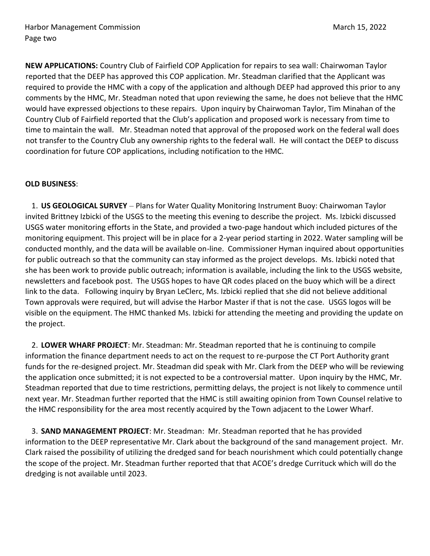**NEW APPLICATIONS:** Country Club of Fairfield COP Application for repairs to sea wall: Chairwoman Taylor reported that the DEEP has approved this COP application. Mr. Steadman clarified that the Applicant was required to provide the HMC with a copy of the application and although DEEP had approved this prior to any comments by the HMC, Mr. Steadman noted that upon reviewing the same, he does not believe that the HMC would have expressed objections to these repairs. Upon inquiry by Chairwoman Taylor, Tim Minahan of the Country Club of Fairfield reported that the Club's application and proposed work is necessary from time to time to maintain the wall. Mr. Steadman noted that approval of the proposed work on the federal wall does not transfer to the Country Club any ownership rights to the federal wall. He will contact the DEEP to discuss coordination for future COP applications, including notification to the HMC.

## **OLD BUSINESS**:

1. **US GEOLOGICAL SURVEY** – Plans for Water Quality Monitoring Instrument Buoy: Chairwoman Taylor invited Brittney Izbicki of the USGS to the meeting this evening to describe the project. Ms. Izbicki discussed USGS water monitoring efforts in the State, and provided a two-page handout which included pictures of the monitoring equipment. This project will be in place for a 2-year period starting in 2022. Water sampling will be conducted monthly, and the data will be available on-line. Commissioner Hyman inquired about opportunities for public outreach so that the community can stay informed as the project develops. Ms. Izbicki noted that she has been work to provide public outreach; information is available, including the link to the USGS website, newsletters and facebook post. The USGS hopes to have QR codes placed on the buoy which will be a direct link to the data. Following inquiry by Bryan LeClerc, Ms. Izbicki replied that she did not believe additional Town approvals were required, but will advise the Harbor Master if that is not the case. USGS logos will be visible on the equipment. The HMC thanked Ms. Izbicki for attending the meeting and providing the update on the project.

2. **LOWER WHARF PROJECT**: Mr. Steadman: Mr. Steadman reported that he is continuing to compile information the finance department needs to act on the request to re-purpose the CT Port Authority grant funds for the re-designed project. Mr. Steadman did speak with Mr. Clark from the DEEP who will be reviewing the application once submitted; it is not expected to be a controversial matter. Upon inquiry by the HMC, Mr. Steadman reported that due to time restrictions, permitting delays, the project is not likely to commence until next year. Mr. Steadman further reported that the HMC is still awaiting opinion from Town Counsel relative to the HMC responsibility for the area most recently acquired by the Town adjacent to the Lower Wharf.

3. **SAND MANAGEMENT PROJECT**: Mr. Steadman: Mr. Steadman reported that he has provided information to the DEEP representative Mr. Clark about the background of the sand management project. Mr. Clark raised the possibility of utilizing the dredged sand for beach nourishment which could potentially change the scope of the project. Mr. Steadman further reported that that ACOE's dredge Currituck which will do the dredging is not available until 2023.